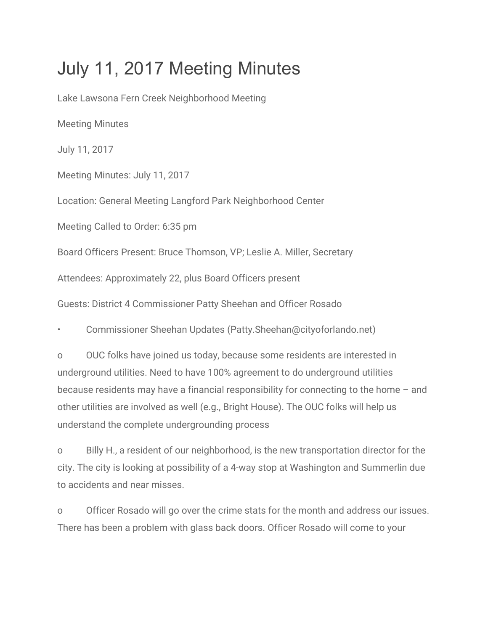## July 11, 2017 Meeting Minutes

Lake Lawsona Fern Creek Neighborhood Meeting Meeting Minutes July 11, 2017 Meeting Minutes: July 11, 2017 Location: General Meeting Langford Park Neighborhood Center Meeting Called to Order: 6:35 pm Board Officers Present: Bruce Thomson, VP; Leslie A. Miller, Secretary Attendees: Approximately 22, plus Board Officers present Guests: District 4 Commissioner Patty Sheehan and Officer Rosado • Commissioner Sheehan Updates (Patty.Sheehan@cityoforlando.net)

o OUC folks have joined us today, because some residents are interested in underground utilities. Need to have 100% agreement to do underground utilities because residents may have a financial responsibility for connecting to the home – and other utilities are involved as well (e.g., Bright House). The OUC folks will help us understand the complete undergrounding process

o Billy H., a resident of our neighborhood, is the new transportation director for the city. The city is looking at possibility of a 4-way stop at Washington and Summerlin due to accidents and near misses.

o Officer Rosado will go over the crime stats for the month and address our issues. There has been a problem with glass back doors. Officer Rosado will come to your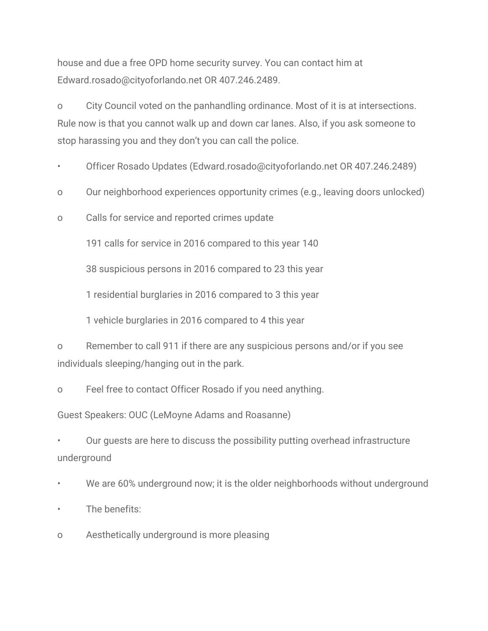house and due a free OPD home security survey. You can contact him at Edward.rosado@cityoforlando.net OR 407.246.2489.

o City Council voted on the panhandling ordinance. Most of it is at intersections. Rule now is that you cannot walk up and down car lanes. Also, if you ask someone to stop harassing you and they don't you can call the police.

- Officer Rosado Updates (Edward.rosado@cityoforlando.net OR 407.246.2489)
- o Our neighborhood experiences opportunity crimes (e.g., leaving doors unlocked)
- o Calls for service and reported crimes update

191 calls for service in 2016 compared to this year 140

38 suspicious persons in 2016 compared to 23 this year

1 residential burglaries in 2016 compared to 3 this year

1 vehicle burglaries in 2016 compared to 4 this year

o Remember to call 911 if there are any suspicious persons and/or if you see individuals sleeping/hanging out in the park.

o Feel free to contact Officer Rosado if you need anything.

Guest Speakers: OUC (LeMoyne Adams and Roasanne)

• Our guests are here to discuss the possibility putting overhead infrastructure underground

We are 60% underground now; it is the older neighborhoods without underground

- The benefits:
- o Aesthetically underground is more pleasing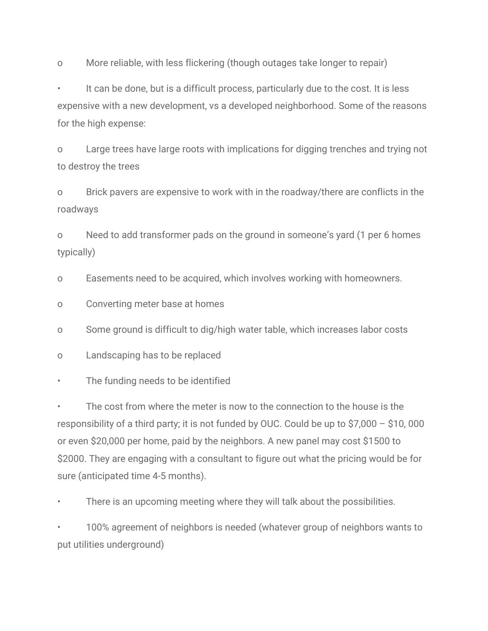o More reliable, with less flickering (though outages take longer to repair)

It can be done, but is a difficult process, particularly due to the cost. It is less expensive with a new development, vs a developed neighborhood. Some of the reasons for the high expense:

o Large trees have large roots with implications for digging trenches and trying not to destroy the trees

o Brick pavers are expensive to work with in the roadway/there are conflicts in the roadways

o Need to add transformer pads on the ground in someone's yard (1 per 6 homes typically)

o Easements need to be acquired, which involves working with homeowners.

o Converting meter base at homes

o Some ground is difficult to dig/high water table, which increases labor costs

o Landscaping has to be replaced

The funding needs to be identified

• The cost from where the meter is now to the connection to the house is the responsibility of a third party; it is not funded by OUC. Could be up to \$7,000 – \$10, 000 or even \$20,000 per home, paid by the neighbors. A new panel may cost \$1500 to \$2000. They are engaging with a consultant to figure out what the pricing would be for sure (anticipated time 4-5 months).

There is an upcoming meeting where they will talk about the possibilities.

• 100% agreement of neighbors is needed (whatever group of neighbors wants to put utilities underground)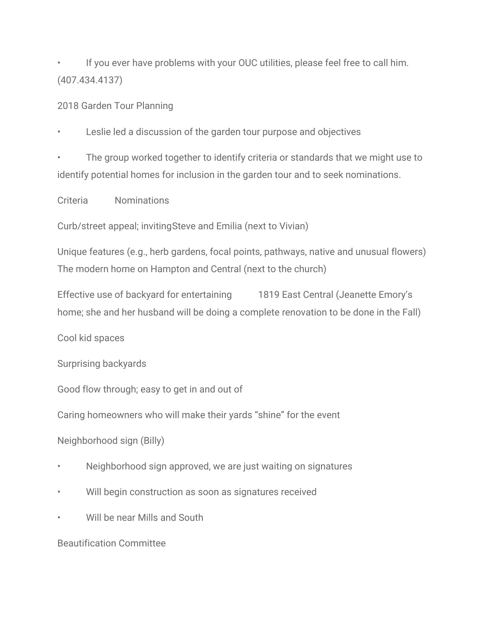If you ever have problems with your OUC utilities, please feel free to call him. (407.434.4137)

2018 Garden Tour Planning

Leslie led a discussion of the garden tour purpose and objectives

• The group worked together to identify criteria or standards that we might use to identify potential homes for inclusion in the garden tour and to seek nominations.

Criteria Nominations

Curb/street appeal; invitingSteve and Emilia (next to Vivian)

Unique features (e.g., herb gardens, focal points, pathways, native and unusual flowers) The modern home on Hampton and Central (next to the church)

Effective use of backyard for entertaining 1819 East Central (Jeanette Emory's home; she and her husband will be doing a complete renovation to be done in the Fall)

Cool kid spaces

Surprising backyards

Good flow through; easy to get in and out of

Caring homeowners who will make their yards "shine" for the event

Neighborhood sign (Billy)

- Neighborhood sign approved, we are just waiting on signatures
- Will begin construction as soon as signatures received
- Will be near Mills and South

Beautification Committee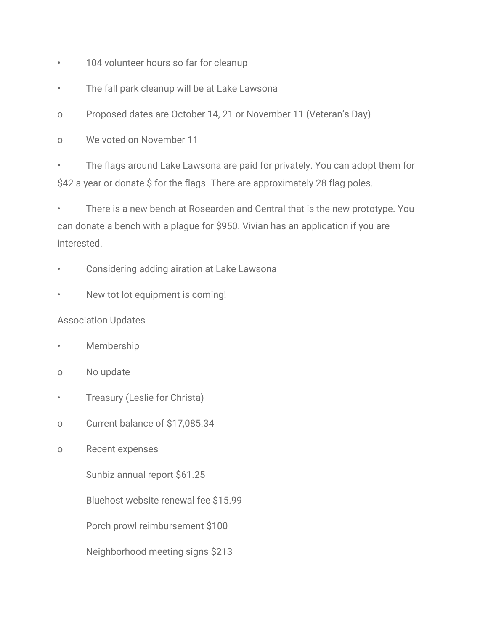- 104 volunteer hours so far for cleanup
- The fall park cleanup will be at Lake Lawsona
- o Proposed dates are October 14, 21 or November 11 (Veteran's Day)
- o We voted on November 11
- The flags around Lake Lawsona are paid for privately. You can adopt them for \$42 a year or donate \$ for the flags. There are approximately 28 flag poles.

• There is a new bench at Rosearden and Central that is the new prototype. You can donate a bench with a plague for \$950. Vivian has an application if you are interested.

- Considering adding airation at Lake Lawsona
- New tot lot equipment is coming!

## Association Updates

- **Membership**
- o No update
- Treasury (Leslie for Christa)
- o Current balance of \$17,085.34
- o Recent expenses

Sunbiz annual report \$61.25

Bluehost website renewal fee \$15.99

Porch prowl reimbursement \$100

Neighborhood meeting signs \$213